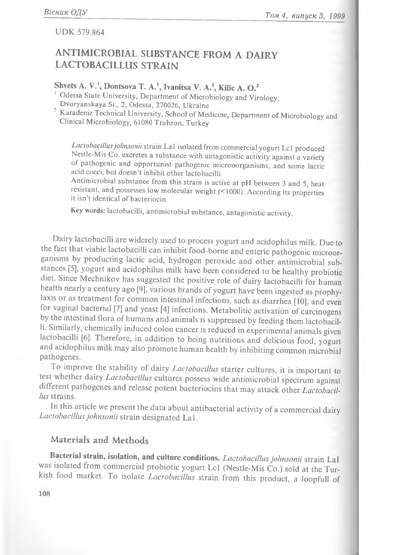#### **UDK 579.864**

## ANTIMICROBIAL SUBSTANCE FROM A DAIRY LACTOBACILLUS STRAIN

## Shvets A. V.<sup>1</sup>, Dontsova T. A.<sup>1</sup>, Ivanitsa V. A.<sup>1</sup>, Kilic A. O.<sup>2</sup>

Odessa State University, Department of Microbiology and Virology, Dvoryanskaya St., 2, Odessa, 270026, Ukraine

<sup>2</sup> Karadeniz Technical University, School of Medicine, Department of Microbiology and Clinical Microbiology, 61080 Trabzon, Turkey

*Lactobacillusjohnsonii* strain Lai isolated from commercial yogurt Lcl produced Nestle-Mis Co. excretes a substance with antagonistic activity against a variety of pathogenic and opportunist pathogenic microoorganisms, and some lactic acid cocci, but doesn't inhibit other lactobacilli.

Antimicrobial substance from this strain is active at pH between 3 and 5, heat resistant, and possesses low molecular weight (< 1000). According its properties it isn't identical of bacteriocin.

Key words: lactobacilli, antimicrobial substance, antagonistic activity.

Dairy lactobacilli are widerely used to process yogurt and acidophilus milk. Due to the fact that viable lactobacilli can inhibit food-borne and enteric pathogenic microorganisms by producting lactic acid, hydrogen peroxide and other antimicrobial substances [5], yogurt and acidophilus milk have been considered to be healthy probiotic diet. Since Mechnikov has suggested the positive role of dairy lactobacilli for human health nearly a century ago [9], various brands of yogurt have been ingested as prophylaxis or as treatment for common intestinal infections, such as diarrhea [10], and even for vaginal bacterial [7] and yeast [4] infections. Metabolitic activation of carcinogens by the intestinal flora of humans and animals is suppressed by feeding them lactobacilli. Similarly, chemically induced colon cancer is reduced in experimental animals given lactobacilli [6]. Therefore, in addition to being nutritious and delicious food, yogurt and acidophilus milk may also promote human health by inhibiting common microbial pathogenes.

To improve the stability of dairy *Lactobacillus* starter cultures, it is important to test whether dairy *Lactobacillus* cultures possess wide antimicrobial spectrum against different pathogenes and release potent bacteriocins that may attack other *Lactobacillus* strains.

In this article we present the data about antibacterial activity of a commercial dairy *Lactobacillus johnsonii* strain designated La 1.

### Materials and Methods

**Bacterial strain, isolation, and culture conditions.** *Lactobacillus johnsonii* strain Lai was isolated from commercial probiotic yogurt Lcl (Nestle-Mis Co.) sold at the Turkish food m arket. To isolate *Lacrobacillus* strain from this product, a loopfull of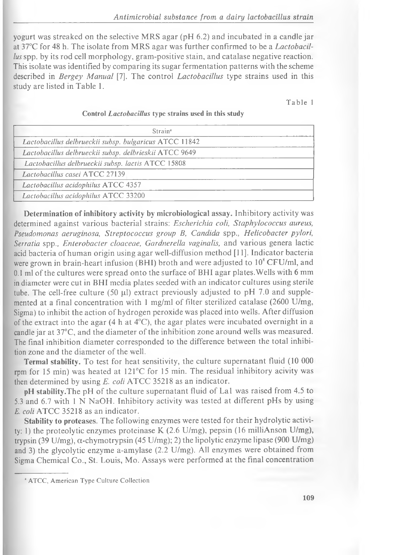yogurt was streaked on the selective MRS agar (pH 6.2) and incubated in a candle jar at 37°C for 48 h. The isolate from M RS agar was further confirm ed to be a *Lactobacillus* spp. by its rod cell morphology, gram-positive stain, and catalase negative reaction. This isolate was identified by comparing its sugar fermentation patterns with the scheme described in *Bergey Manual* [7]. The control *Lactobacillus* type strains used in this study are listed in Table 1.

Table 1

| Strain <sup>®</sup>                                    |  |
|--------------------------------------------------------|--|
| Lactobacillus delbrueckii subsp. bulgaricus ATCC 11842 |  |
| Lactobacillus delbrueckii subsp. delbrieskii ATCC 9649 |  |
| Lactobacillus delbrueckii subsp. lactis ATCC 15808     |  |
| Lactobacillus casei ATCC 27139                         |  |
| Lactobacillus acidophilus ATCC 4357                    |  |
| Lactobacillus acidophilus ATCC 33200                   |  |

#### Control *Lactobacillus* type strains used in this study

**Determination of inhibitory activity by microbiological assay.** Inhibitory activity was determined against various bacterial strains: *Escherichia coli, Staphylococcus aureus, Pseudomonas aeruginosa, Streptococcus group B, Candida* spp., *H elicobacter pylori,* Serratia spp., *Enterobacter cloaceae*, *Gardnerella vaginalis*, and various genera lactic acid bacteria of human origin using agar well-diffusion method [11]. Indicator bacteria were grown in brain-heart infusion (BHI) broth and were adjusted to  $10^8$  CFU/ml, and  $0.1$  ml of the cultures were spread onto the surface of BHI agar plates. Wells with 6 mm in diameter were cut in BHI media plates seeded with an indicator cultures using sterile tube. The cell-free culture (50  $\mu$ l) extract previously adjusted to pH 7.0 and supplemented at a final concentration with 1 mg/ml of filter sterilized catalase (2600 U/mg, Sigma) to inhibit the action of hydrogen peroxide was placed into wells. After diffusion of the extract into the agar (4 h at  $4^{\circ}$ C), the agar plates were incubated overnight in a candle jar at 37°C, and the diameter of the inhibition zone around wells was measured. The final inhibition diameter corresponded to the difference between the total inhibition zone and the diameter of the well.

Termal stability. To test for heat sensitivity, the culture supernatant fluid (10 000 rpm for 15 min) was heated at 121°C for 15 min. The residual inhibitory acivity was then determined by using *E. coli* ATCC 35218 as an indicator.

**pH stability.** The pH of the culture supernatant fluid of La1 was raised from 4.5 to 5.3 and 6.7 with 1 N NaOH. Inhibitory activity was tested at different pHs by using *E. coli* **ATCC** 35218 as an indicator.

**Stability to proteases.** The following enzymes were tested for their hydrolytic activity: 1) the proteolytic enzymes proteinase K (2.6 U/mg), pepsin (16 milliAnson U/mg), trypsin (39 U/mg),  $\alpha$ -chymotrypsin (45 U/mg); 2) the lipolytic enzyme lipase (900 U/mg) and 3) the glycolytic enzyme a-amylase (2.2 U/mg). All enzymes were obtained from Sigma Chemical Co., St. Louis, Mo. Assays were performed at the final concentration

<sup>&</sup>lt;sup>a</sup> ATCC, American Type Culture Collection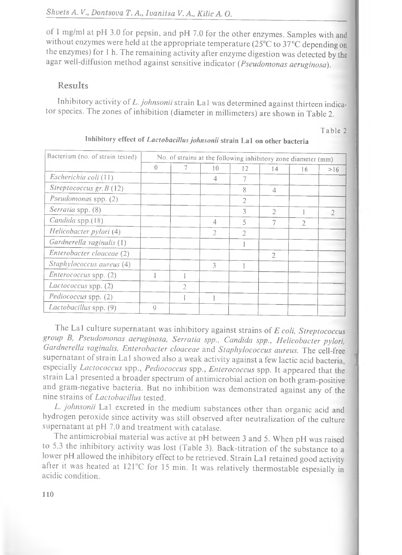o f 1 mg/ml at pH 3.0 for pepsin, and pH 7.0 for the other enzymes. Samples with and without enzymes were held at the appropriate temperature ( $25^{\circ}$ C to  $37^{\circ}$ C depending on the enzymes) for 1 h. The remaining activity after enzyme digestion was detected by the agar well-diffusion method against sensitive indicator (*Pseudomonas aeruginosa*).

#### Results

Inhibitory activity of *L. johnsonii* strain La1 was determined against thirteen indicator species. The zones of inhibition (diameter in millimeters) are shown in Table 2.

Table 2

| Bacterium (no. of strain tested) | No. of strains at the following inhibitory zone diameter (mm) |   |                |                |                |               |     |
|----------------------------------|---------------------------------------------------------------|---|----------------|----------------|----------------|---------------|-----|
|                                  | $\bigcap$                                                     |   | 10             | 12             | 14             | 16            | >16 |
| Escherichia coli (11)            |                                                               |   | 4              | 7              |                |               |     |
| Streptococcus gr. $B(12)$        |                                                               |   |                | 8              | $\overline{4}$ |               |     |
| Pseudomonas spp. (2)             |                                                               |   |                | $\overline{2}$ |                |               |     |
| Serratia spp. (8)                |                                                               |   |                | 3              | $\mathcal{L}$  |               |     |
| Candida spp.(18)                 |                                                               |   | 4              | 5              | 7              | $\mathcal{D}$ |     |
| Helicobacter pylori (4)          |                                                               |   | $\mathfrak{D}$ | $\overline{2}$ |                |               |     |
| Gardnerella vaginalis (1)        |                                                               |   |                |                |                |               |     |
| Enterobacter cloaceae (2)        |                                                               |   |                |                | $\overline{2}$ |               |     |
| Staphylococcus aureus (4)        |                                                               |   | 3              |                |                |               |     |
| Enterococcus spp. (2)            |                                                               |   |                |                |                |               |     |
| <i>Lactococcus</i> spp. (2)      |                                                               | 2 |                |                |                |               |     |
| Pediococcus spp. (2)             |                                                               |   |                |                |                |               |     |
| Lactobacillus spp. (9)           | Q                                                             |   |                |                |                |               |     |

## Inhibitory effect of *Lactobacillus johnsonii* strain La1 on other bacteria

The La1 culture supernatant was inhibitory against strains of *E coli, Streptococcus group B, Pseudom onas aeruginosa, Serratia spp., Candida spp., H elicobacter pylori, Gardnerella vaginalis, E nterobacter cloaceae* and *Staphylococcus aureus.* The cell-free supernatant of strain La1 showed also a weak activity against a few lactic acid bacteria, especially *Lactococcus* spp., *Pediococcus* spp., *Enterococcus* spp. It appeared that the strain La1 presented a broader spectrum of antimicrobial action on both gram-positive and gram -negative bacteria. But no inhibition was dem onstrated against any of the nine strains of *Lactobacillus* tested.

*L. johnsonii* La1 excreted in the medium substances other than organic acid and hydrogen peroxide since activity was still observed after neutralization of the culture supernatant at pH  $7.0$  and treatment with catalase.

The antimicrobial material was active at pH between 3 and 5. When pH was raised to 5.3 the inhibitory activity was lost (Table 3). Back-titration of the substance to a lower pH allowed the inhibitory effect to be retrieved. Strain La1 retained good activity after it was heated at 121°C for 15 min. It was relatively thermostable espesially in acidic condition.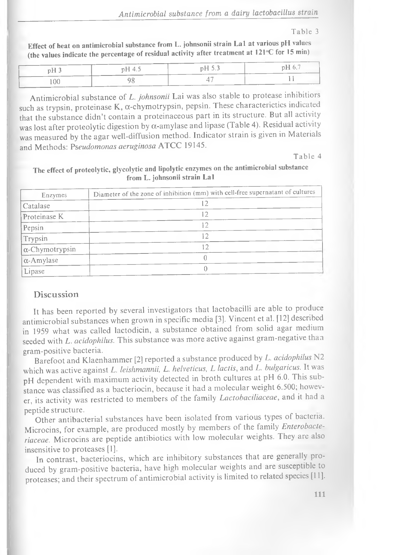*Antimicrobial substance from a dairy lactobacillus strain*

#### Table 3

Effect of heat on antimicrobial substance from L. johnsonii strain La1 at various pH values (the values indicate the percentage of residual activity after treatment at  $121^{\circ}$ C for 15 min)

| pH <sub>3</sub> | pH 4.5 | pH 5.3 | pH 6.7 |
|-----------------|--------|--------|--------|
| 100             |        |        |        |

Antimicrobial substance of *L. johnsonii* Lai was also stable to protease inhibitiors such as trypsin, proteinase K,  $\alpha$ -chymotrypsin, pepsin. These characterictics indicated that the substance didn't contain a proteinaceous part in its structure. But all activity was lost after proteolytic digestion by  $\alpha$ -amylase and lipase (Table 4). Residual activity was measured by the agar well-diffusion method. Indicator strain is given in Materials and Methods: Pseudomonas aeruginosa ATCC 19145.

Table 4

The effect of proteolytic, glycolytic and lipolytic enzymes on the antimicrobial substance from L. johnsonii strain Lai

| Enzymes                | Diameter of the zone of inhibition (mm) with cell-free supernatant of cultures |
|------------------------|--------------------------------------------------------------------------------|
| Catalase               |                                                                                |
| Proteinase K           | 12                                                                             |
| Pepsin                 |                                                                                |
| Trypsin                | 1つ                                                                             |
| $\alpha$ -Chymotrypsin | 12                                                                             |
| $\alpha$ -Amylase      |                                                                                |
| Lipase                 |                                                                                |

#### Discussion

It has been reported by several investigators that lactobacilli are able to produce antim icrobial substances when grown in specific media [3]. Vincent et al. [12] described in 1959 w hat was called lactodicin, a substance obtained from solid agar medium seeded with *L. acidophilus*. This substance was more active against gram-negative than gram-positive bacteria.

Barefoot and Klaenhammer [2] reported a substance produced by *L. acidophilus* N2 which was active against *L. leishmannii, L. helveticus, L lactis*, and *L. bulgaricus*. It was pH dependent with maximum activity detected in broth cultures at pH 6.0. This substance was classified as a bacteriocin, because it had a molecular weight 6.500; however, its activity was restricted to members of the family *Lactobaciliaceae*, and it had a peptide structure.

Other antibacterial substances have been isolated from various types of bacteria. Microcins, for example, are produced mostly by members of the family *Enterobacte*riaceae. Microcins are peptide antibiotics with low molecular weights. They are also insensitive to proteases [1].

In contrast, bacteriocins, which are inhibitory substances that are generally produced by gram-positive bacteria, have high molecular weights and are susceptible to proteases; and their spectrum of antimicrobial activity is limited to related species [11].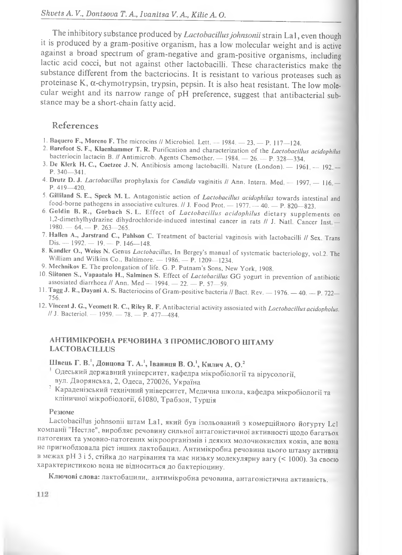The inhibitory substance produced by *Lactobacillus johnsonii* strain La1, even though it is produced by a gram -positive organism , has a low m olecular weight and is active against a broad spectrum of gram-negative and gram-positive organisms, including lactic acid cocci, but not against other lactobacilli. These characteristics make the substance different from the bacteriocins. It is resistant to various proteases such as proteinase K,  $\alpha$ -chymotrypsin, trypsin, pepsin. It is also heat resistant. The low molecular weight and its narrow range of pH preference, suggest that antibacterial substance may be a short-chain fatty acid.

#### References

- 1. Baquero F., Moreno F. The microcins // Microbiol. Lett. -- 1984. -- 23. -- P. 117-124.
- 2. Barefoot S. F., Klaenhammer T. R. Purification and characterization of the *Lactobacillus acidophilus* bacteriocin lactacin B. // Antimicrob. Agents Chemother.  $-$  1984.  $-$  26.  $-$  P. 328-334.
- 3. De Klerk H. C., Coetzee J. N. Antibiosis among lactobacilli. Nature (London). 1961 192 -P. 340—341.
- 4. Drutz D. J. *Lactobacillus* prophylaxis for *Candida* vaginitis // Ann. Intern. Med 1997. 116. -P. 419—420.
- 5. Gilliland S. E., Speck M. L. Antagonistic action of *Lactobacillus acidophilus* towards intestinal and food-borne pathogens in associative cultures.  $// J. Food Prot. — 1977. — 40. — P. 820-823.$
- 6. Goldin B. R., G orbach S. L. Effect of *Lactobacillus acidophilus* dietary supplements on 1,2-dimethylhydrazine dihydrochloride-induced intestinal cancer in rats // J. Natl. Cancer Inst - $1980 - 64 - P. 263 - 265$ .
- 7. Hallen A., Jarstrand C., Pahlson C. Treatment of bacterial vaginosis with lactobacilli // Sex Trans Dis. — 1992. — 19. — P. 146—148.
- 8. Kandler O., Weiss N. Genus *Lactobacillus*, In Bergey's manual of systematic bacteriology, vol.2. The William and Wilkins Co., Baltimore. — 1986. — P. 1209—1234.
- 9. Mechnikov E. The prolongation of life. G. P. Putnam's Sons, New York, 1908.
- lO.Siitonen S., Vapaatalo H., Salminen S. Effect of *Lactobacillus* GG yogurt in prevention of antibiotic assosiated diarrhoea  $\text{l/ Ann. Med} = 1994. = 22. = P. 57–59.$
- 11. Tagg J. R., Dayani A. S. Bacteriocins of Gram-positive bacteria // Bact. Rev. 1976. 40. P. 722-756.
- 12. Vincent J. G., Veomett R. C., Riley R. F. Antibacterial activity assosiated with *Lactobacillus acidopholus. II* J. Bacteriol. — 1959. — 78. — P. 477—484.

#### АНТИМІКРОБНА РЕЧОВИНА З ПРОМИСЛОВОГО ШТАМУ LACTOBACILLUS

### Швець Г. В.<sup>1</sup>, Донцова Т. А.<sup>1</sup>, Іваниця В. О.<sup>1</sup>, Килич А. О.<sup>2</sup>

- Одеський державний університет, кафедра мікробіології та вірусології, вул. Дворянська, 2, Одеса, 270026, Україна
- Караденізський технічний університет, Медична школа, кафедра мікробіології та кліничної мікробіології, 61080, Трабзон, Турція

#### Резюме

Lactobacillus johnsonii штам La1, який був ізольований з комерційного йогурту Lcl компанії Нестле", виробляє речовину сильної антагоністичної активності щодо багатьох патогених та умовно-патогених мікроорганізмів і деяких молочнокислих коків, але вона не пригноблювала ріст інших лактобацил. Антимікробна речовина цього штаму активна в межах pH 3 і 5, стійка до нагрівання та має низьку молекулярну вагу (< 1000). За своєю характеристикою вона не відноситься до бактеріоцину.

Ключові слова: лактобацили,. антимікробна речовина, антагоністична активність.